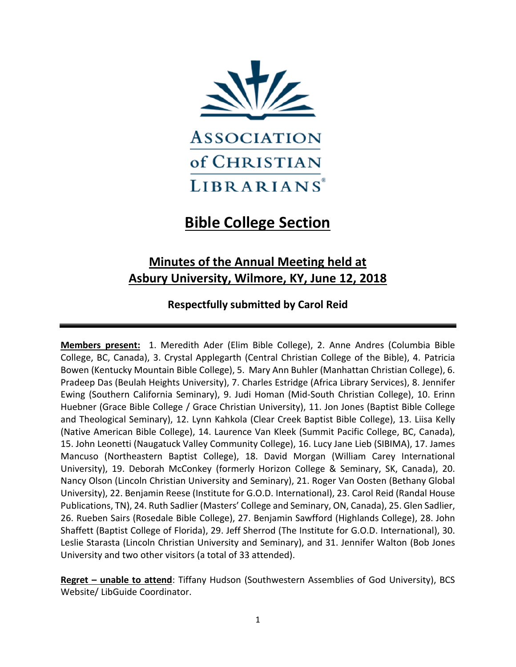

# **Bible College Section**

## **Minutes of the Annual Meeting held at Asbury University, Wilmore, KY, June 12, 2018**

## **Respectfully submitted by Carol Reid**

**Members present:** 1. Meredith Ader (Elim Bible College), 2. Anne Andres (Columbia Bible College, BC, Canada), 3. Crystal Applegarth (Central Christian College of the Bible), 4. Patricia Bowen (Kentucky Mountain Bible College), 5. Mary Ann Buhler (Manhattan Christian College), 6. Pradeep Das (Beulah Heights University), 7. Charles Estridge (Africa Library Services), 8. Jennifer Ewing (Southern California Seminary), 9. Judi Homan (Mid-South Christian College), 10. Erinn Huebner (Grace Bible College / Grace Christian University), 11. Jon Jones (Baptist Bible College and Theological Seminary), 12. Lynn Kahkola (Clear Creek Baptist Bible College), 13. Liisa Kelly (Native American Bible College), 14. Laurence Van Kleek (Summit Pacific College, BC, Canada), 15. John Leonetti (Naugatuck Valley Community College), 16. Lucy Jane Lieb (SIBIMA), 17. James Mancuso (Northeastern Baptist College), 18. David Morgan (William Carey International University), 19. Deborah McConkey (formerly Horizon College & Seminary, SK, Canada), 20. Nancy Olson (Lincoln Christian University and Seminary), 21. Roger Van Oosten (Bethany Global University), 22. Benjamin Reese (Institute for G.O.D. International), 23. Carol Reid (Randal House Publications, TN), 24. Ruth Sadlier (Masters' College and Seminary, ON, Canada), 25. Glen Sadlier, 26. Rueben Sairs (Rosedale Bible College), 27. Benjamin Sawfford (Highlands College), 28. John Shaffett (Baptist College of Florida), 29. Jeff Sherrod (The Institute for G.O.D. International), 30. Leslie Starasta (Lincoln Christian University and Seminary), and 31. Jennifer Walton (Bob Jones University and two other visitors (a total of 33 attended).

**Regret – unable to attend**: Tiffany Hudson (Southwestern Assemblies of God University), BCS Website/ LibGuide Coordinator.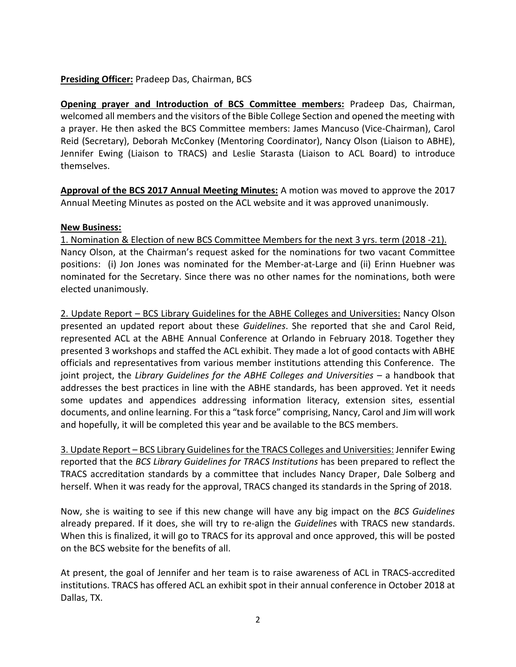### **Presiding Officer:** Pradeep Das, Chairman, BCS

**Opening prayer and Introduction of BCS Committee members:** Pradeep Das, Chairman, welcomed all members and the visitors of the Bible College Section and opened the meeting with a prayer. He then asked the BCS Committee members: James Mancuso (Vice-Chairman), Carol Reid (Secretary), Deborah McConkey (Mentoring Coordinator), Nancy Olson (Liaison to ABHE), Jennifer Ewing (Liaison to TRACS) and Leslie Starasta (Liaison to ACL Board) to introduce themselves.

**Approval of the BCS 2017 Annual Meeting Minutes:** A motion was moved to approve the 2017 Annual Meeting Minutes as posted on the ACL website and it was approved unanimously.

#### **New Business:**

1. Nomination & Election of new BCS Committee Members for the next 3 yrs. term (2018 -21). Nancy Olson, at the Chairman's request asked for the nominations for two vacant Committee positions: (i) Jon Jones was nominated for the Member-at-Large and (ii) Erinn Huebner was nominated for the Secretary. Since there was no other names for the nominations, both were elected unanimously.

2. Update Report – BCS Library Guidelines for the ABHE Colleges and Universities: Nancy Olson presented an updated report about these *Guidelines*. She reported that she and Carol Reid, represented ACL at the ABHE Annual Conference at Orlando in February 2018. Together they presented 3 workshops and staffed the ACL exhibit. They made a lot of good contacts with ABHE officials and representatives from various member institutions attending this Conference. The joint project, the *Library Guidelines for the ABHE Colleges and Universities* – a handbook that addresses the best practices in line with the ABHE standards, has been approved. Yet it needs some updates and appendices addressing information literacy, extension sites, essential documents, and online learning. For this a "task force" comprising, Nancy, Carol and Jim will work and hopefully, it will be completed this year and be available to the BCS members.

3. Update Report – BCS Library Guidelines for the TRACS Colleges and Universities: Jennifer Ewing reported that the *BCS Library Guidelines for TRACS Institutions* has been prepared to reflect the TRACS accreditation standards by a committee that includes Nancy Draper, Dale Solberg and herself. When it was ready for the approval, TRACS changed its standards in the Spring of 2018.

Now, she is waiting to see if this new change will have any big impact on the *BCS Guidelines* already prepared. If it does, she will try to re-align the *Guideline*s with TRACS new standards. When this is finalized, it will go to TRACS for its approval and once approved, this will be posted on the BCS website for the benefits of all.

At present, the goal of Jennifer and her team is to raise awareness of ACL in TRACS-accredited institutions. TRACS has offered ACL an exhibit spot in their annual conference in October 2018 at Dallas, TX.